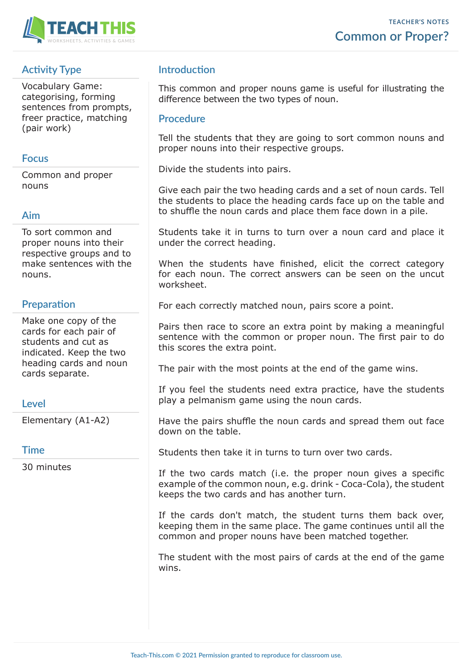

# **Activity Type**

Vocabulary Game: categorising, forming sentences from prompts, freer practice, matching (pair work)

#### **Focus**

Common and proper nouns

## **Aim**

To sort common and proper nouns into their respective groups and to make sentences with the nouns.

## **Preparation**

Make one copy of the cards for each pair of students and cut as indicated. Keep the two heading cards and noun cards separate.

#### **Level**

Elementary (A1-A2)

#### **Time**

30 minutes

# **Introduction**

This common and proper nouns game is useful for illustrating the difference between the two types of noun.

#### **Procedure**

Tell the students that they are going to sort common nouns and proper nouns into their respective groups.

Divide the students into pairs.

Give each pair the two heading cards and a set of noun cards. Tell the students to place the heading cards face up on the table and to shuffle the noun cards and place them face down in a pile.

Students take it in turns to turn over a noun card and place it under the correct heading.

When the students have finished, elicit the correct category for each noun. The correct answers can be seen on the uncut worksheet.

For each correctly matched noun, pairs score a point.

Pairs then race to score an extra point by making a meaningful sentence with the common or proper noun. The first pair to do this scores the extra point.

The pair with the most points at the end of the game wins.

If you feel the students need extra practice, have the students play a pelmanism game using the noun cards.

Have the pairs shuffle the noun cards and spread them out face down on the table.

Students then take it in turns to turn over two cards.

If the two cards match (i.e. the proper noun gives a specific example of the common noun, e.g. drink - Coca-Cola), the student keeps the two cards and has another turn.

If the cards don't match, the student turns them back over, keeping them in the same place. The game continues until all the common and proper nouns have been matched together.

The student with the most pairs of cards at the end of the game wins.